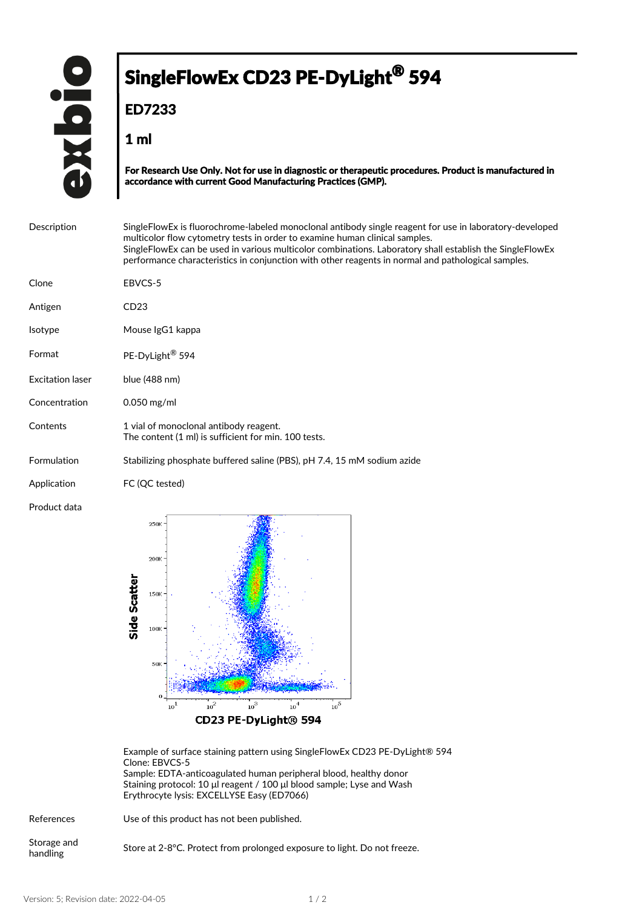## SingleFlowEx CD23 PE-DyLight<sup>®</sup> 594

**ED7233**

**1 ml**

**For Research Use Only. Not for use in diagnostic or therapeutic procedures. Product is manufactured in accordance with current Good Manufacturing Practices (GMP).**

| Description             | Single Flow Ex is fluorochrome-labeled monoclonal antibody single reagent for use in laboratory-developed<br>multicolor flow cytometry tests in order to examine human clinical samples.<br>SingleFlowEx can be used in various multicolor combinations. Laboratory shall establish the SingleFlowEx<br>performance characteristics in conjunction with other reagents in normal and pathological samples. |
|-------------------------|------------------------------------------------------------------------------------------------------------------------------------------------------------------------------------------------------------------------------------------------------------------------------------------------------------------------------------------------------------------------------------------------------------|
| Clone                   | EBVCS-5                                                                                                                                                                                                                                                                                                                                                                                                    |
| Antigen                 | CD23                                                                                                                                                                                                                                                                                                                                                                                                       |
| <b>Isotype</b>          | Mouse IgG1 kappa                                                                                                                                                                                                                                                                                                                                                                                           |
| Format                  | PE-DyLight <sup>®</sup> 594                                                                                                                                                                                                                                                                                                                                                                                |
| <b>Excitation laser</b> | blue (488 nm)                                                                                                                                                                                                                                                                                                                                                                                              |
| Concentration           | $0.050$ mg/ml                                                                                                                                                                                                                                                                                                                                                                                              |
| Contents                | 1 vial of monoclonal antibody reagent.<br>The content (1 ml) is sufficient for min. 100 tests.                                                                                                                                                                                                                                                                                                             |
| Formulation             | Stabilizing phosphate buffered saline (PBS), pH 7.4, 15 mM sodium azide                                                                                                                                                                                                                                                                                                                                    |
| Application             | FC (QC tested)                                                                                                                                                                                                                                                                                                                                                                                             |
| Product data            | $250V =$                                                                                                                                                                                                                                                                                                                                                                                                   |



CD23 PE-DyLight® 594

Example of surface staining pattern using SingleFlowEx CD23 PE-DyLight® 594 Clone: EBVCS-5 Sample: EDTA-anticoagulated human peripheral blood, healthy donor Staining protocol: 10 μl reagent / 100 μl blood sample; Lyse and Wash Erythrocyte lysis: EXCELLYSE Easy (ED7066)

References Use of this product has not been published.

Storage and Store at 2-8°C. Protect from prolonged exposure to light. Do not freeze.<br>handling